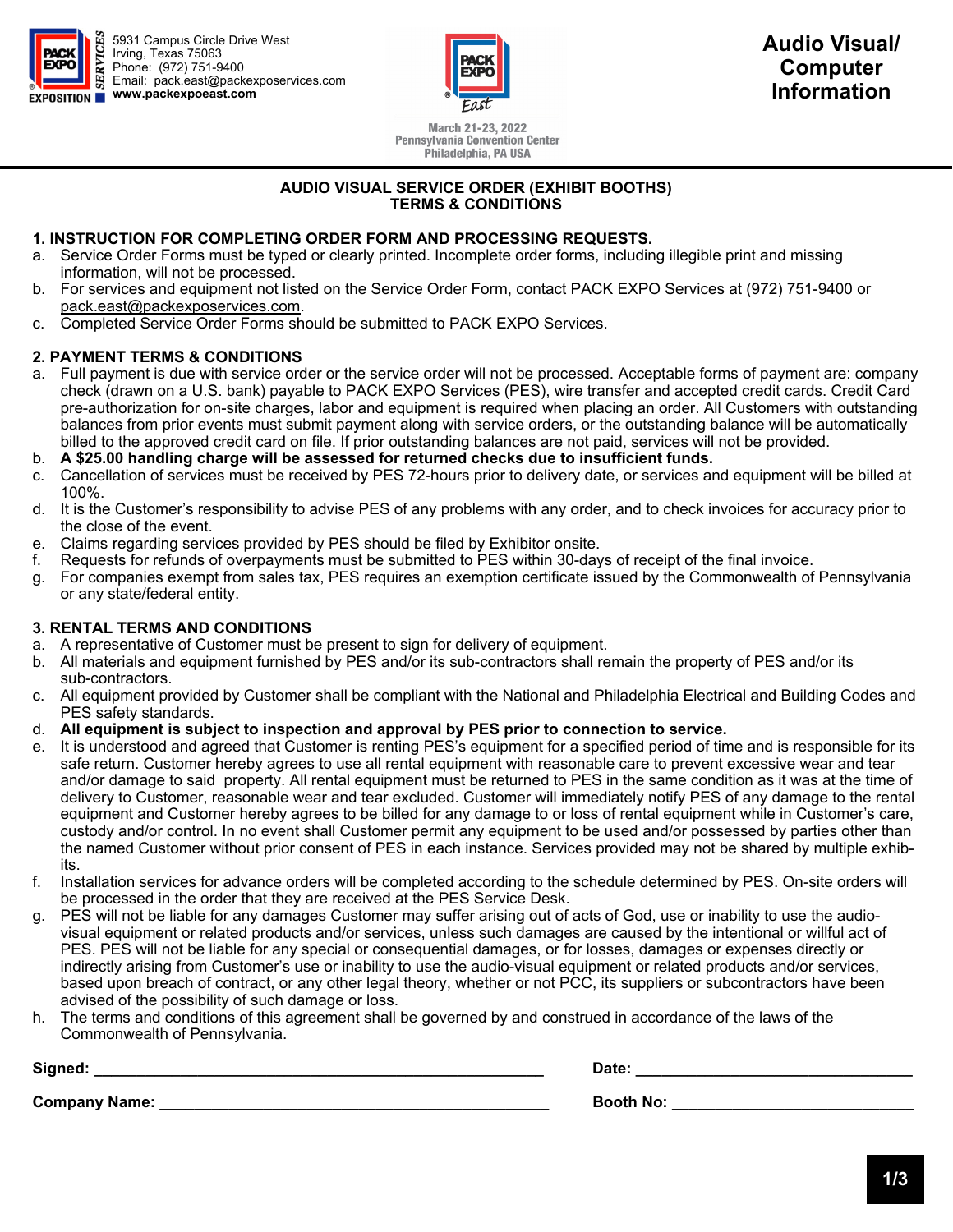

5931 Campus Circle Drive West Irving, Texas 75063 Phone: (972) 751-9400 Email: pack.east@packexposervices.com **www.packexpoeast.com** 



**Audio Visual/ Computer Information** 

March 21-23, 2022 **Pennsylvania Convention Center** Philadelphia, PA USA

## **AUDIO VISUAL SERVICE ORDER (EXHIBIT BOOTHS) TERMS & CONDITIONS**

## **1. INSTRUCTION FOR COMPLETING ORDER FORM AND PROCESSING REQUESTS.**

- a. Service Order Forms must be typed or clearly printed. Incomplete order forms, including illegible print and missing information, will not be processed.
- b. For services and equipment not listed on the Service Order Form, contact PACK EXPO Services at (972) 751-9400 or pack.east@packexposervices.com.
- c. Completed Service Order Forms should be submitted to PACK EXPO Services.

## **2. PAYMENT TERMS & CONDITIONS**

- a. Full payment is due with service order or the service order will not be processed. Acceptable forms of payment are: company check (drawn on a U.S. bank) payable to PACK EXPO Services (PES), wire transfer and accepted credit cards. Credit Card pre-authorization for on-site charges, labor and equipment is required when placing an order. All Customers with outstanding balances from prior events must submit payment along with service orders, or the outstanding balance will be automatically billed to the approved credit card on file. If prior outstanding balances are not paid, services will not be provided.
- b. **A \$25.00 handling charge will be assessed for returned checks due to insufficient funds.**
- Cancellation of services must be received by PES 72-hours prior to delivery date, or services and equipment will be billed at 100%.
- d. It is the Customer's responsibility to advise PES of any problems with any order, and to check invoices for accuracy prior to the close of the event.
- e. Claims regarding services provided by PES should be filed by Exhibitor onsite.
- f. Requests for refunds of overpayments must be submitted to PES within 30-days of receipt of the final invoice.
- g. For companies exempt from sales tax, PES requires an exemption certificate issued by the Commonwealth of Pennsylvania or any state/federal entity.

# **3. RENTAL TERMS AND CONDITIONS**

- a. A representative of Customer must be present to sign for delivery of equipment.
- b. All materials and equipment furnished by PES and/or its sub-contractors shall remain the property of PES and/or its sub-contractors.
- c. All equipment provided by Customer shall be compliant with the National and Philadelphia Electrical and Building Codes and PES safety standards.
- d. **All equipment is subject to inspection and approval by PES prior to connection to service.**
- e. It is understood and agreed that Customer is renting PES's equipment for a specified period of time and is responsible for its safe return. Customer hereby agrees to use all rental equipment with reasonable care to prevent excessive wear and tear and/or damage to said property. All rental equipment must be returned to PES in the same condition as it was at the time of delivery to Customer, reasonable wear and tear excluded. Customer will immediately notify PES of any damage to the rental equipment and Customer hereby agrees to be billed for any damage to or loss of rental equipment while in Customer's care, custody and/or control. In no event shall Customer permit any equipment to be used and/or possessed by parties other than the named Customer without prior consent of PES in each instance. Services provided may not be shared by multiple exhibits.
- f. Installation services for advance orders will be completed according to the schedule determined by PES. On-site orders will be processed in the order that they are received at the PES Service Desk.
- g. PES will not be liable for any damages Customer may suffer arising out of acts of God, use or inability to use the audiovisual equipment or related products and/or services, unless such damages are caused by the intentional or willful act of PES. PES will not be liable for any special or consequential damages, or for losses, damages or expenses directly or indirectly arising from Customer's use or inability to use the audio-visual equipment or related products and/or services, based upon breach of contract, or any other legal theory, whether or not PCC, its suppliers or subcontractors have been advised of the possibility of such damage or loss.
- h. The terms and conditions of this agreement shall be governed by and construed in accordance of the laws of the Commonwealth of Pennsylvania.

| Signed:              | Date:            |
|----------------------|------------------|
| <b>Company Name:</b> | <b>Booth No:</b> |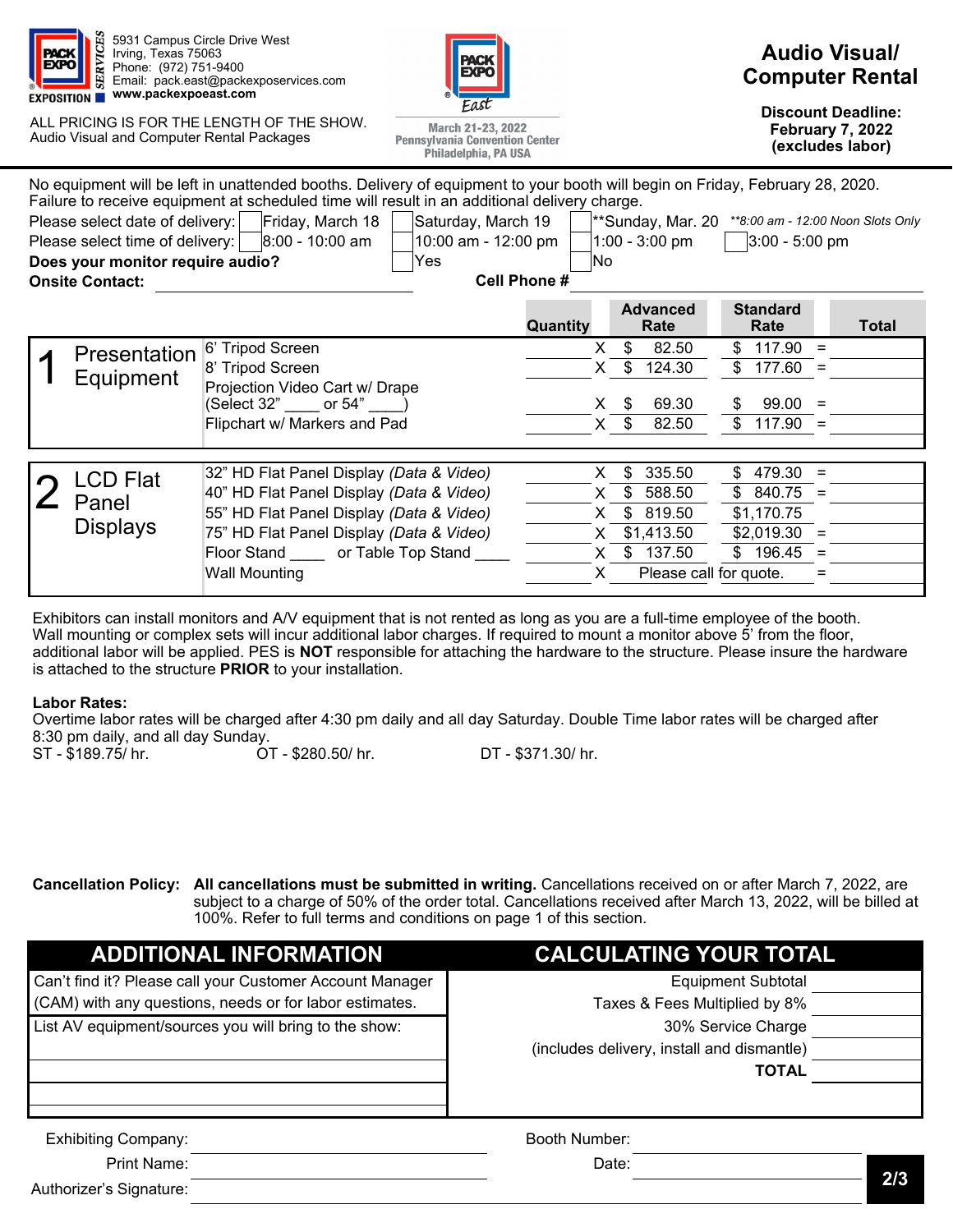

5931 Campus Circle Drive West Irving, Texas 75063 Phone: (972) 751-9400 Email: pack.east@packexposervices.com **www.packexpoeast.com** 

ALL PRICING IS FOR THE LENGTH OF THE SHOW. Audio Visual and Computer Rental Packages



March 21-23, 2022 **Pennsylvania Convention Center** 

# **Audio Visual/ Computer Rental**

**Discount Deadline: February 7, 2022 (excludes labor)** 

|                                                                                                                                                                                                                                                                                                                                                                                                                                                                                                                                                                                             |                 | Philadelphia, PA USA                     |          |                         |                         | (excludes labor) |
|---------------------------------------------------------------------------------------------------------------------------------------------------------------------------------------------------------------------------------------------------------------------------------------------------------------------------------------------------------------------------------------------------------------------------------------------------------------------------------------------------------------------------------------------------------------------------------------------|-----------------|------------------------------------------|----------|-------------------------|-------------------------|------------------|
| No equipment will be left in unattended booths. Delivery of equipment to your booth will begin on Friday, February 28, 2020.<br>Failure to receive equipment at scheduled time will result in an additional delivery charge.<br>Friday, March 18<br>Please select date of delivery:<br>Saturday, March 19<br>**Sunday, Mar. 20<br>** 8:00 am - 12:00 Noon Slots Only<br>Please select time of delivery:<br>8:00 - 10:00 am<br>10:00 am - 12:00 pm<br>$1:00 - 3:00$ pm<br>$3:00 - 5:00$ pm<br>Does your monitor require audio?<br>No.<br>Yes<br><b>Cell Phone#</b><br><b>Onsite Contact:</b> |                 |                                          |          |                         |                         |                  |
|                                                                                                                                                                                                                                                                                                                                                                                                                                                                                                                                                                                             |                 |                                          | Quantity | <b>Advanced</b><br>Rate | <b>Standard</b><br>Rate | <b>Total</b>     |
|                                                                                                                                                                                                                                                                                                                                                                                                                                                                                                                                                                                             | Presentation    | 6' Tripod Screen                         | X.       | \$<br>82.50             | \$<br>117.90<br>$=$     |                  |
|                                                                                                                                                                                                                                                                                                                                                                                                                                                                                                                                                                                             | Equipment       | 8' Tripod Screen                         | X.       | \$.<br>124.30           | $$177.60 =$             |                  |
|                                                                                                                                                                                                                                                                                                                                                                                                                                                                                                                                                                                             |                 | Projection Video Cart w/ Drape           |          |                         |                         |                  |
|                                                                                                                                                                                                                                                                                                                                                                                                                                                                                                                                                                                             |                 | (Select 32" _____ or 54" ____)           | X.       | 69.30<br>\$             | $99.00 =$<br>S.         |                  |
|                                                                                                                                                                                                                                                                                                                                                                                                                                                                                                                                                                                             |                 | Flipchart w/ Markers and Pad             | X.       | 82.50                   | \$<br>$117.90 =$        |                  |
|                                                                                                                                                                                                                                                                                                                                                                                                                                                                                                                                                                                             |                 |                                          |          |                         |                         |                  |
|                                                                                                                                                                                                                                                                                                                                                                                                                                                                                                                                                                                             | <b>LCD Flat</b> | 32" HD Flat Panel Display (Data & Video) | X.       | 335.50<br>\$            | $479.30 =$<br>\$        |                  |
|                                                                                                                                                                                                                                                                                                                                                                                                                                                                                                                                                                                             |                 | 40" HD Flat Panel Display (Data & Video) | X.       | \$<br>588.50            | $$840.75 =$             |                  |
|                                                                                                                                                                                                                                                                                                                                                                                                                                                                                                                                                                                             | Panel           | 55" HD Flat Panel Display (Data & Video) | X.       | \$<br>819.50            | \$1,170.75              |                  |
|                                                                                                                                                                                                                                                                                                                                                                                                                                                                                                                                                                                             | <b>Displays</b> | 75" HD Flat Panel Display (Data & Video) | X.       | \$1,413.50              | $$2,019.30 =$           |                  |
|                                                                                                                                                                                                                                                                                                                                                                                                                                                                                                                                                                                             |                 | Floor Stand _____ or Table Top Stand _   | X.       | \$<br>137.50            | $$196.45 =$             |                  |
|                                                                                                                                                                                                                                                                                                                                                                                                                                                                                                                                                                                             |                 | <b>Wall Mounting</b>                     | X.       |                         | Please call for quote.  |                  |
|                                                                                                                                                                                                                                                                                                                                                                                                                                                                                                                                                                                             |                 |                                          |          |                         |                         |                  |

Exhibitors can install monitors and A/V equipment that is not rented as long as you are a full-time employee of the booth. Wall mounting or complex sets will incur additional labor charges. If required to mount a monitor above 5' from the floor, additional labor will be applied. PES is **NOT** responsible for attaching the hardware to the structure. Please insure the hardware is attached to the structure **PRIOR** to your installation.

### **Labor Rates:**

Overtime labor rates will be charged after 4:30 pm daily and all day Saturday. Double Time labor rates will be charged after 8:30 pm daily, and all day Sunday.<br>ST - \$189.75/ hr. 67

ST - \$189.75/ hr. OT - \$280.50/ hr. DT - \$371.30/ hr.

**Cancellation Policy: All cancellations must be submitted in writing.** Cancellations received on or after March 7, 2022, are subject to a charge of 50% of the order total. Cancellations received after March 13, 2022, will be billed at 100%. Refer to full terms and conditions on page 1 of this section.

| <b>ADDITIONAL INFORMATION</b>                            | <b>CALCULATING YOUR TOTAL</b>              |     |
|----------------------------------------------------------|--------------------------------------------|-----|
| Can't find it? Please call your Customer Account Manager | <b>Equipment Subtotal</b>                  |     |
| (CAM) with any questions, needs or for labor estimates.  | Taxes & Fees Multiplied by 8%              |     |
| List AV equipment/sources you will bring to the show:    | 30% Service Charge                         |     |
|                                                          | (includes delivery, install and dismantle) |     |
|                                                          | <b>TOTAL</b>                               |     |
|                                                          |                                            |     |
| <b>Exhibiting Company:</b>                               | Booth Number:                              |     |
| Print Name:                                              | Date:                                      |     |
| Authorizer's Signature:                                  |                                            | 2/3 |